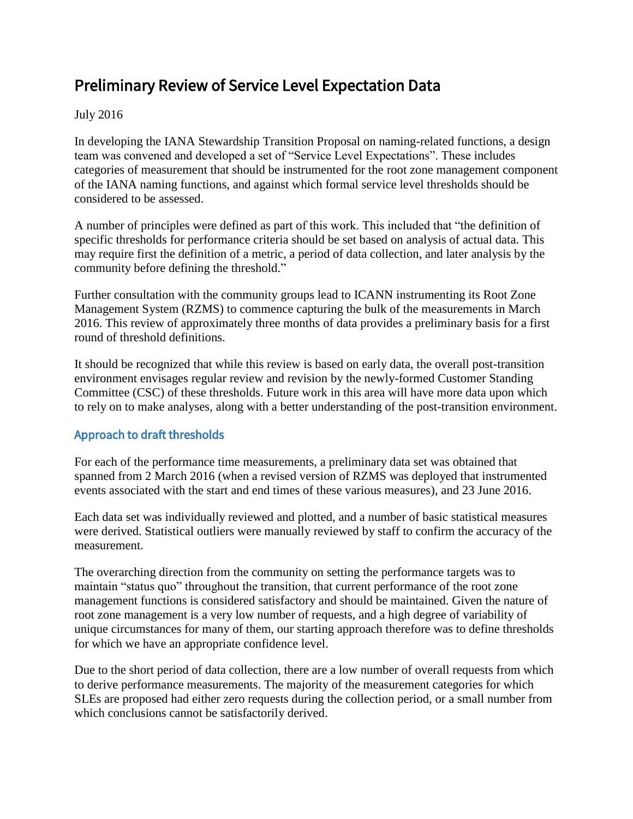# Preliminary Review of Service Level Expectation Data

#### July 2016

In developing the IANA Stewardship Transition Proposal on naming-related functions, a design team was convened and developed a set of "Service Level Expectations". These includes categories of measurement that should be instrumented for the root zone management component of the IANA naming functions, and against which formal service level thresholds should be considered to be assessed.

A number of principles were defined as part of this work. This included that "the definition of specific thresholds for performance criteria should be set based on analysis of actual data. This may require first the definition of a metric, a period of data collection, and later analysis by the community before defining the threshold."

Further consultation with the community groups lead to ICANN instrumenting its Root Zone Management System (RZMS) to commence capturing the bulk of the measurements in March 2016. This review of approximately three months of data provides a preliminary basis for a first round of threshold definitions.

It should be recognized that while this review is based on early data, the overall post-transition environment envisages regular review and revision by the newly-formed Customer Standing Committee (CSC) of these thresholds. Future work in this area will have more data upon which to rely on to make analyses, along with a better understanding of the post-transition environment.

### Approach to draft thresholds

For each of the performance time measurements, a preliminary data set was obtained that spanned from 2 March 2016 (when a revised version of RZMS was deployed that instrumented events associated with the start and end times of these various measures), and 23 June 2016.

Each data set was individually reviewed and plotted, and a number of basic statistical measures were derived. Statistical outliers were manually reviewed by staff to confirm the accuracy of the measurement.

The overarching direction from the community on setting the performance targets was to maintain "status quo" throughout the transition, that current performance of the root zone management functions is considered satisfactory and should be maintained. Given the nature of root zone management is a very low number of requests, and a high degree of variability of unique circumstances for many of them, our starting approach therefore was to define thresholds for which we have an appropriate confidence level.

Due to the short period of data collection, there are a low number of overall requests from which to derive performance measurements. The majority of the measurement categories for which SLEs are proposed had either zero requests during the collection period, or a small number from which conclusions cannot be satisfactorily derived.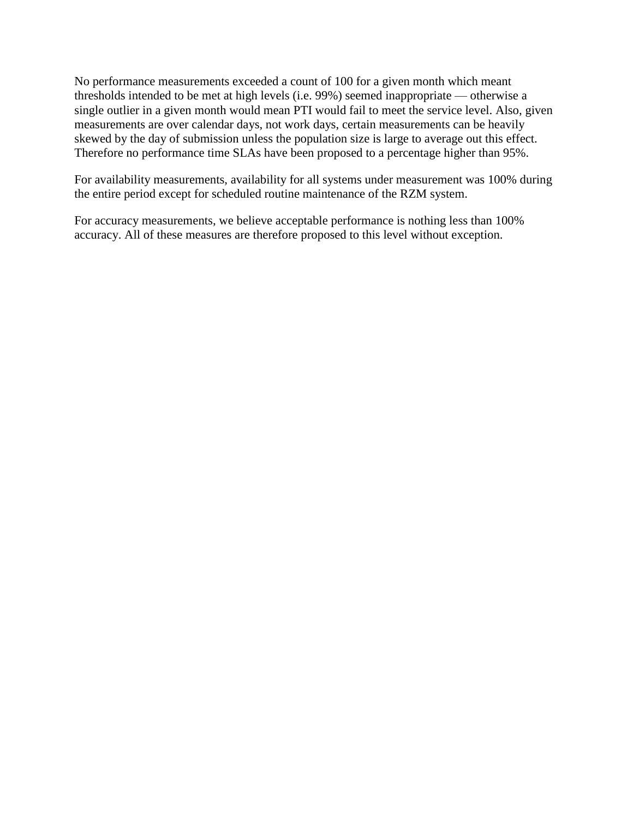No performance measurements exceeded a count of 100 for a given month which meant thresholds intended to be met at high levels (i.e. 99%) seemed inappropriate — otherwise a single outlier in a given month would mean PTI would fail to meet the service level. Also, given measurements are over calendar days, not work days, certain measurements can be heavily skewed by the day of submission unless the population size is large to average out this effect. Therefore no performance time SLAs have been proposed to a percentage higher than 95%.

For availability measurements, availability for all systems under measurement was 100% during the entire period except for scheduled routine maintenance of the RZM system.

For accuracy measurements, we believe acceptable performance is nothing less than 100% accuracy. All of these measures are therefore proposed to this level without exception.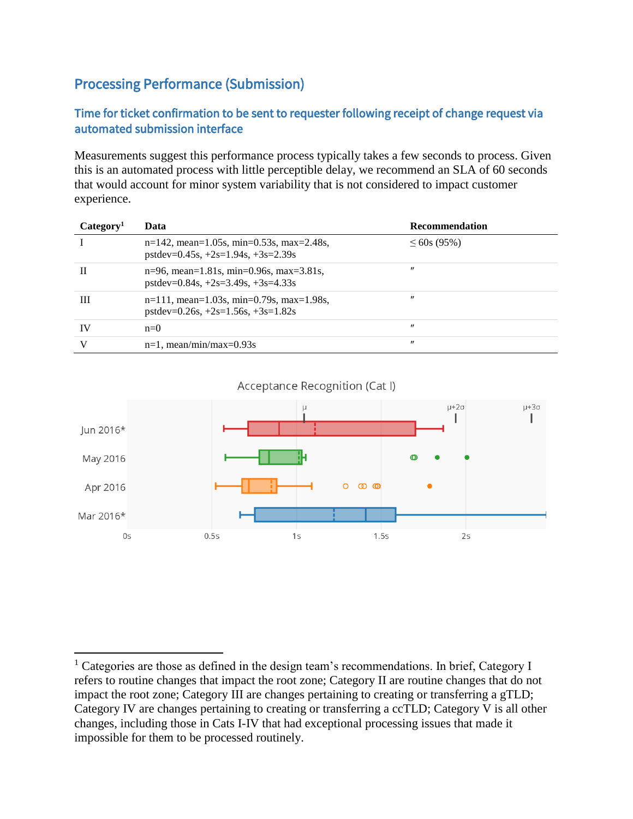## Processing Performance (Submission)

 $\overline{a}$ 

### Time for ticket confirmation to be sent to requester following receipt of change request via automated submission interface

Measurements suggest this performance process typically takes a few seconds to process. Given this is an automated process with little perceptible delay, we recommend an SLA of 60 seconds that would account for minor system variability that is not considered to impact customer experience.

| Category <sup>1</sup> | Data                                                                                | <b>Recommendation</b> |
|-----------------------|-------------------------------------------------------------------------------------|-----------------------|
|                       | $n=142$ , mean=1.05s, min=0.53s, max=2.48s,<br>$pstdev=0.45s, +2s=1.94s, +3s=2.39s$ | $\leq 60s(95\%)$      |
| Н                     | $n=96$ , mean=1.81s, min=0.96s, max=3.81s,<br>$pstdev=0.84s, +2s=3.49s, +3s=4.33s$  | $^{\prime\prime}$     |
| Ш                     | $n=111$ , mean=1.03s, min=0.79s, max=1.98s,<br>$pstdev=0.26s, +2s=1.56s, +3s=1.82s$ | $^{\prime\prime}$     |
| IV                    | $n=0$                                                                               | $^{\prime\prime}$     |
|                       | $n=1$ , mean/min/max=0.93s                                                          | $^{\prime\prime}$     |

Acceptance Recognition (Cat I)



<sup>&</sup>lt;sup>1</sup> Categories are those as defined in the design team's recommendations. In brief, Category I refers to routine changes that impact the root zone; Category II are routine changes that do not impact the root zone; Category III are changes pertaining to creating or transferring a gTLD; Category IV are changes pertaining to creating or transferring a ccTLD; Category V is all other changes, including those in Cats I-IV that had exceptional processing issues that made it impossible for them to be processed routinely.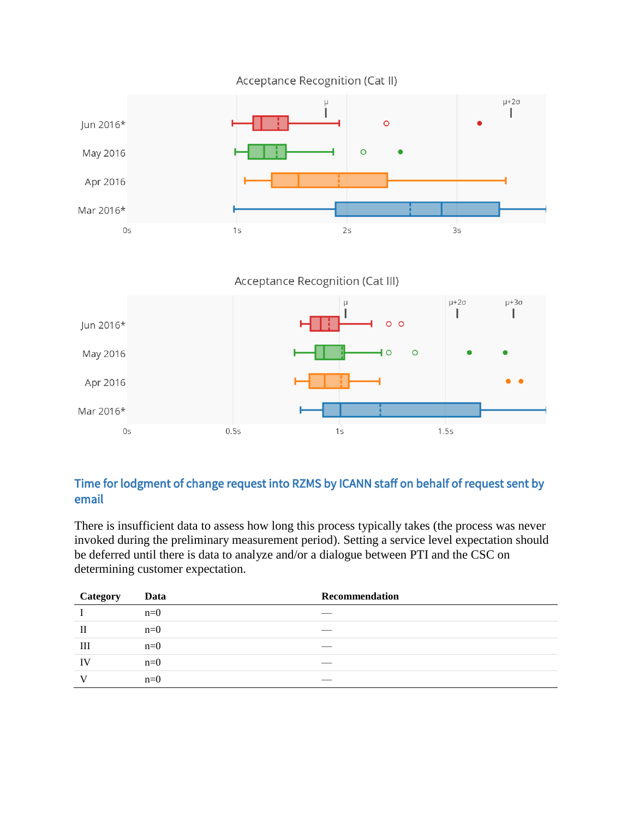

Acceptance Recognition (Cat III)



## Time for lodgment of change request into RZMS by ICANN staff on behalf of request sent by email

There is insufficient data to assess how long this process typically takes (the process was never invoked during the preliminary measurement period). Setting a service level expectation should be deferred until there is data to analyze and/or a dialogue between PTI and the CSC on determining customer expectation.

| Category | Data  | Recommendation |
|----------|-------|----------------|
|          | $n=0$ |                |
| Н        | $n=0$ |                |
| Ш        | $n=0$ |                |
| IV       | $n=0$ |                |
|          | $n=0$ |                |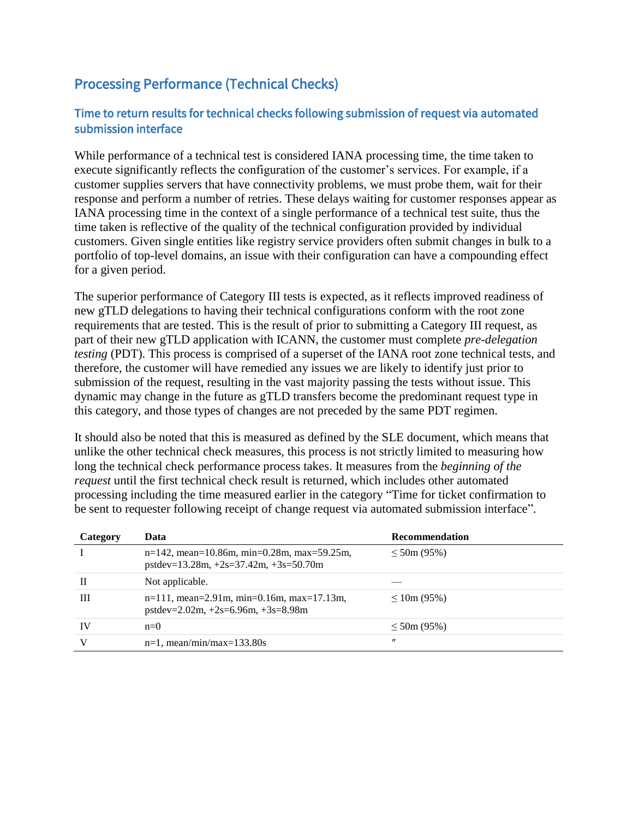## Processing Performance (Technical Checks)

### Time to return results for technical checks following submission of request via automated submission interface

While performance of a technical test is considered IANA processing time, the time taken to execute significantly reflects the configuration of the customer's services. For example, if a customer supplies servers that have connectivity problems, we must probe them, wait for their response and perform a number of retries. These delays waiting for customer responses appear as IANA processing time in the context of a single performance of a technical test suite, thus the time taken is reflective of the quality of the technical configuration provided by individual customers. Given single entities like registry service providers often submit changes in bulk to a portfolio of top-level domains, an issue with their configuration can have a compounding effect for a given period.

The superior performance of Category III tests is expected, as it reflects improved readiness of new gTLD delegations to having their technical configurations conform with the root zone requirements that are tested. This is the result of prior to submitting a Category III request, as part of their new gTLD application with ICANN, the customer must complete *pre-delegation testing* (PDT). This process is comprised of a superset of the IANA root zone technical tests, and therefore, the customer will have remedied any issues we are likely to identify just prior to submission of the request, resulting in the vast majority passing the tests without issue. This dynamic may change in the future as gTLD transfers become the predominant request type in this category, and those types of changes are not preceded by the same PDT regimen.

It should also be noted that this is measured as defined by the SLE document, which means that unlike the other technical check measures, this process is not strictly limited to measuring how long the technical check performance process takes. It measures from the *beginning of the request* until the first technical check result is returned, which includes other automated processing including the time measured earlier in the category "Time for ticket confirmation to be sent to requester following receipt of change request via automated submission interface".

| Category  | Data                                                                                     | Recommendation    |
|-----------|------------------------------------------------------------------------------------------|-------------------|
|           | $n=142$ , mean=10.86m, min=0.28m, max=59.25m,<br>$pstdev=13.28m, +2s=37.42m, +3s=50.70m$ | $\leq 50$ m (95%) |
| Н         | Not applicable.                                                                          |                   |
| Ш         | $n=111$ , mean=2.91m, min=0.16m, max=17.13m,<br>$pstdev=2.02m, +2s=6.96m, +3s=8.98m$     | $\leq 10m(95%)$   |
| <b>IV</b> | $n=0$                                                                                    | $\leq 50$ m (95%) |
|           | $n=1$ , mean/min/max=133.80s                                                             | $^{\prime\prime}$ |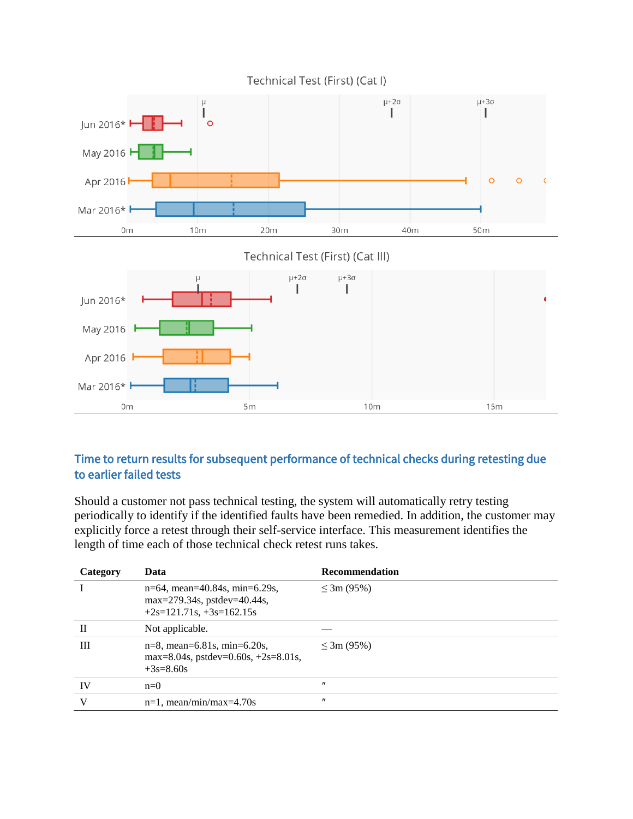

### Time to return results for subsequent performance of technical checks during retesting due to earlier failed tests

Should a customer not pass technical testing, the system will automatically retry testing periodically to identify if the identified faults have been remedied. In addition, the customer may explicitly force a retest through their self-service interface. This measurement identifies the length of time each of those technical check retest runs takes.

| Category | Data                                                                                          | <b>Recommendation</b> |
|----------|-----------------------------------------------------------------------------------------------|-----------------------|
|          | n=64, mean=40.84s, min=6.29s,<br>$max=279.34s$ , pstdev=40.44s,<br>$+2s=121.71s, +3s=162.15s$ | $\leq 3m(95\%)$       |
| П        | Not applicable.                                                                               |                       |
| Ш        | $n=8$ , mean=6.81s, min=6.20s,<br>max=8.04s, pstdev=0.60s, $+2s=8.01s$ ,<br>$+3s=8.60s$       | $\leq 3m(95\%)$       |
| IV       | $n=0$                                                                                         | $^{\prime\prime}$     |
| v        | $n=1$ , mean/min/max=4.70s                                                                    | $^{\prime\prime}$     |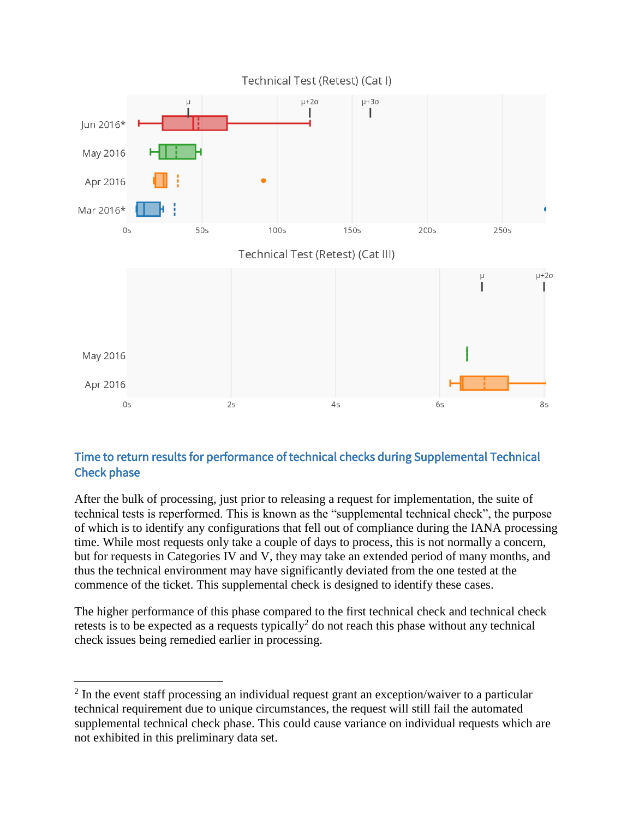

## Time to return results for performance of technical checks during Supplemental Technical Check phase

After the bulk of processing, just prior to releasing a request for implementation, the suite of technical tests is reperformed. This is known as the "supplemental technical check", the purpose of which is to identify any configurations that fell out of compliance during the IANA processing time. While most requests only take a couple of days to process, this is not normally a concern, but for requests in Categories IV and V, they may take an extended period of many months, and thus the technical environment may have significantly deviated from the one tested at the commence of the ticket. This supplemental check is designed to identify these cases.

The higher performance of this phase compared to the first technical check and technical check retests is to be expected as a requests typically<sup>2</sup> do not reach this phase without any technical check issues being remedied earlier in processing.

 $\overline{a}$ 

 $2 \text{ In the event staff processing an individual request grant an exception/wavier to a particular.}$ technical requirement due to unique circumstances, the request will still fail the automated supplemental technical check phase. This could cause variance on individual requests which are not exhibited in this preliminary data set.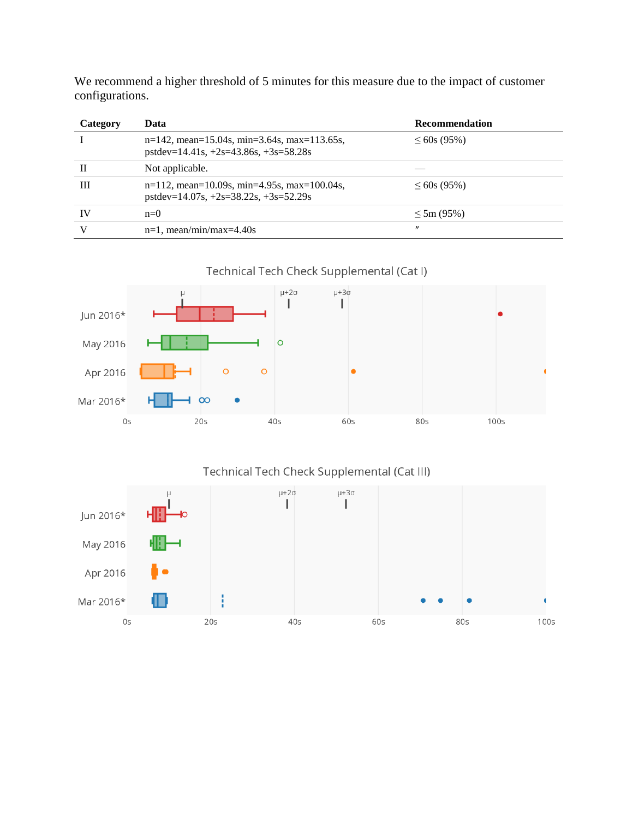| Category | Data                                                                                      | <b>Recommendation</b> |
|----------|-------------------------------------------------------------------------------------------|-----------------------|
|          | $n=142$ , mean=15.04s, min=3.64s, max=113.65s,<br>$pstdev=14.41s, +2s=43.86s, +3s=58.28s$ | $\leq 60s(95\%)$      |
| H        | Not applicable.                                                                           |                       |
| Ш        | $n=112$ , mean=10.09s, min=4.95s, max=100.04s,<br>$pstdev=14.07s, +2s=38.22s, +3s=52.29s$ | $\leq 60s(95\%)$      |
| IV       | $n=0$                                                                                     | $\leq 5m (95\%)$      |
|          | $n=1$ , mean/min/max=4.40s                                                                | $^{\prime\prime}$     |

We recommend a higher threshold of 5 minutes for this measure due to the impact of customer configurations.







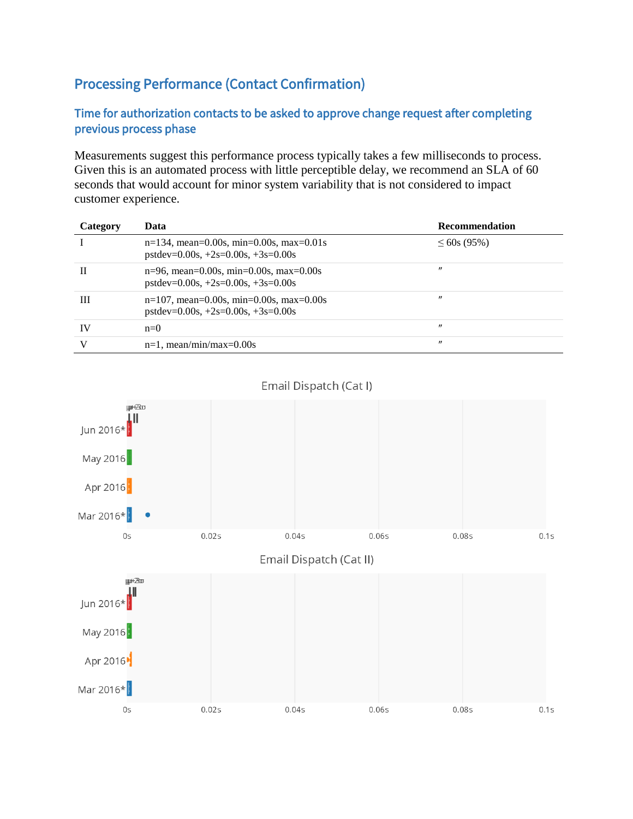## Processing Performance (Contact Confirmation)

### Time for authorization contacts to be asked to approve change request after completing previous process phase

Measurements suggest this performance process typically takes a few milliseconds to process. Given this is an automated process with little perceptible delay, we recommend an SLA of 60 seconds that would account for minor system variability that is not considered to impact customer experience.

| Category | Data                                                                               | Recommendation    |
|----------|------------------------------------------------------------------------------------|-------------------|
|          | $n=134$ , mean=0.00s, min=0.00s, max=0.01s<br>$pstdev=0.00s, +2s=0.00s, +3s=0.00s$ | $\leq 60s(95\%)$  |
| П        | $n=96$ , mean=0.00s, min=0.00s, max=0.00s<br>$pstdev=0.00s, +2s=0.00s, +3s=0.00s$  | "                 |
| Ш        | $n=107$ , mean=0.00s, min=0.00s, max=0.00s<br>$pstdev=0.00s, +2s=0.00s, +3s=0.00s$ | $^{\prime\prime}$ |
| IV       | $n=0$                                                                              | $^{\prime\prime}$ |
|          | $n=1$ , mean/min/max=0.00s                                                         | $^{\prime\prime}$ |



#### Email Dispatch (Cat I)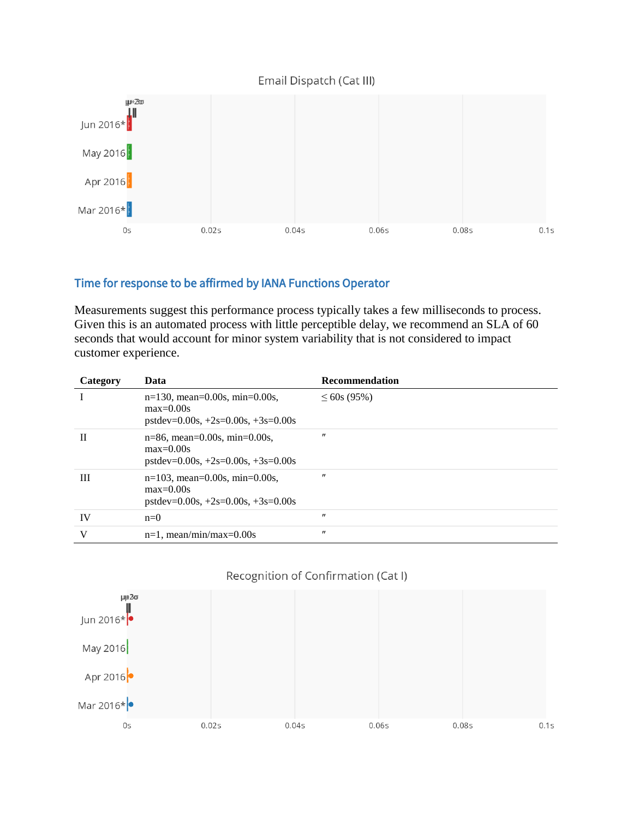#### Email Dispatch (Cat III)



#### Time for response to be affirmed by IANA Functions Operator

Measurements suggest this performance process typically takes a few milliseconds to process. Given this is an automated process with little perceptible delay, we recommend an SLA of 60 seconds that would account for minor system variability that is not considered to impact customer experience.

| Category | Data                                                                                    | <b>Recommendation</b> |
|----------|-----------------------------------------------------------------------------------------|-----------------------|
|          | $n=130$ , mean=0.00s, min=0.00s,<br>$max=0.00s$<br>$pstdev=0.00s, +2s=0.00s, +3s=0.00s$ | $\leq 60$ s (95%)     |
| H        | $n=86$ , mean=0.00s, min=0.00s,<br>$max=0.00s$<br>$pstdev=0.00s, +2s=0.00s, +3s=0.00s$  | $^{\prime\prime}$     |
| Ш        | $n=103$ , mean=0.00s, min=0.00s,<br>$max=0.00s$<br>$pstdev=0.00s, +2s=0.00s, +3s=0.00s$ | $^{\prime\prime}$     |
| IV       | $n=0$                                                                                   | $^{\prime\prime}$     |
| V        | $n=1$ , mean/min/max=0.00s                                                              | $^{\prime\prime}$     |

#### Recognition of Confirmation (Cat I)

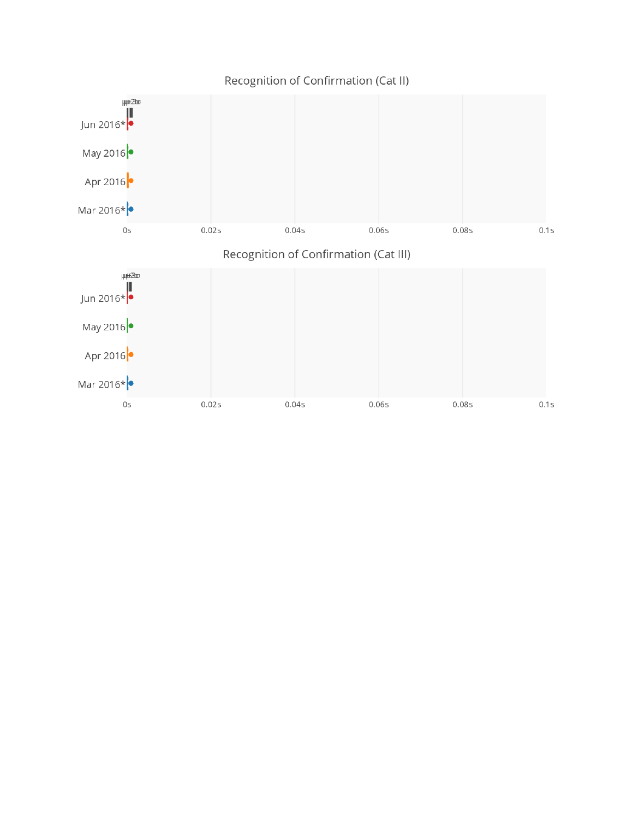

## Recognition of Confirmation (Cat II)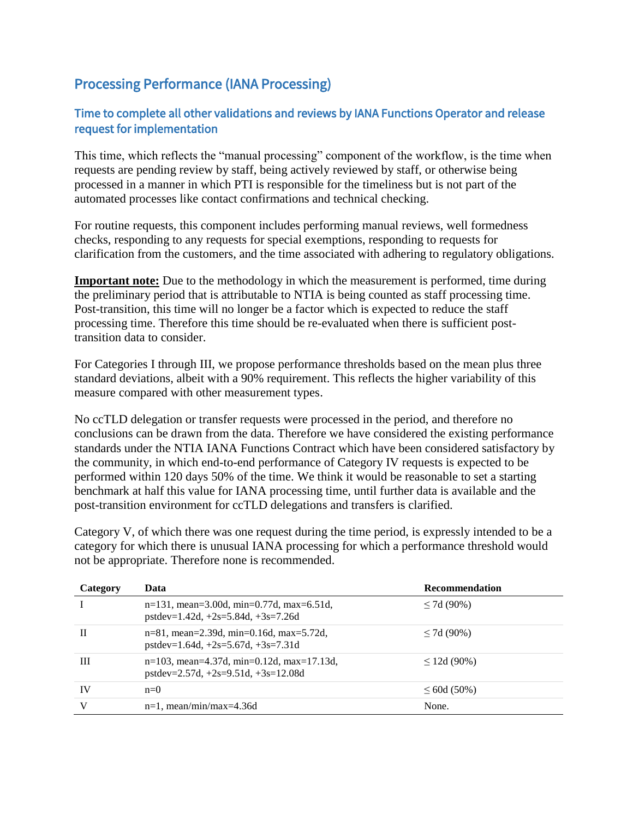## Processing Performance (IANA Processing)

### Time to complete all other validations and reviews by IANA Functions Operator and release request for implementation

This time, which reflects the "manual processing" component of the workflow, is the time when requests are pending review by staff, being actively reviewed by staff, or otherwise being processed in a manner in which PTI is responsible for the timeliness but is not part of the automated processes like contact confirmations and technical checking.

For routine requests, this component includes performing manual reviews, well formedness checks, responding to any requests for special exemptions, responding to requests for clarification from the customers, and the time associated with adhering to regulatory obligations.

**Important note:** Due to the methodology in which the measurement is performed, time during the preliminary period that is attributable to NTIA is being counted as staff processing time. Post-transition, this time will no longer be a factor which is expected to reduce the staff processing time. Therefore this time should be re-evaluated when there is sufficient posttransition data to consider.

For Categories I through III, we propose performance thresholds based on the mean plus three standard deviations, albeit with a 90% requirement. This reflects the higher variability of this measure compared with other measurement types.

No ccTLD delegation or transfer requests were processed in the period, and therefore no conclusions can be drawn from the data. Therefore we have considered the existing performance standards under the NTIA IANA Functions Contract which have been considered satisfactory by the community, in which end-to-end performance of Category IV requests is expected to be performed within 120 days 50% of the time. We think it would be reasonable to set a starting benchmark at half this value for IANA processing time, until further data is available and the post-transition environment for ccTLD delegations and transfers is clarified.

Category V, of which there was one request during the time period, is expressly intended to be a category for which there is unusual IANA processing for which a performance threshold would not be appropriate. Therefore none is recommended.

| Category  | Data                                                                                   | Recommendation   |
|-----------|----------------------------------------------------------------------------------------|------------------|
|           | $n=131$ , mean=3.00d, min=0.77d, max=6.51d,<br>$pstdev=1.42d, +2s=5.84d, +3s=7.26d$    | $\leq$ 7d (90%)  |
| H         | $n=81$ , mean=2.39d, min=0.16d, max=5.72d,<br>$pstdev=1.64d, +2s=5.67d, +3s=7.31d$     | $\leq$ 7d (90%)  |
| Ш         | $n=103$ , mean=4.37d, min=0.12d, max=17.13d,<br>pstdev= $2.57d, +2s=9.51d, +3s=12.08d$ | $\leq$ 12d (90%) |
| <b>IV</b> | $n=0$                                                                                  | $\leq 60d(50\%)$ |
| V         | $n=1$ , mean/min/max=4.36d                                                             | None.            |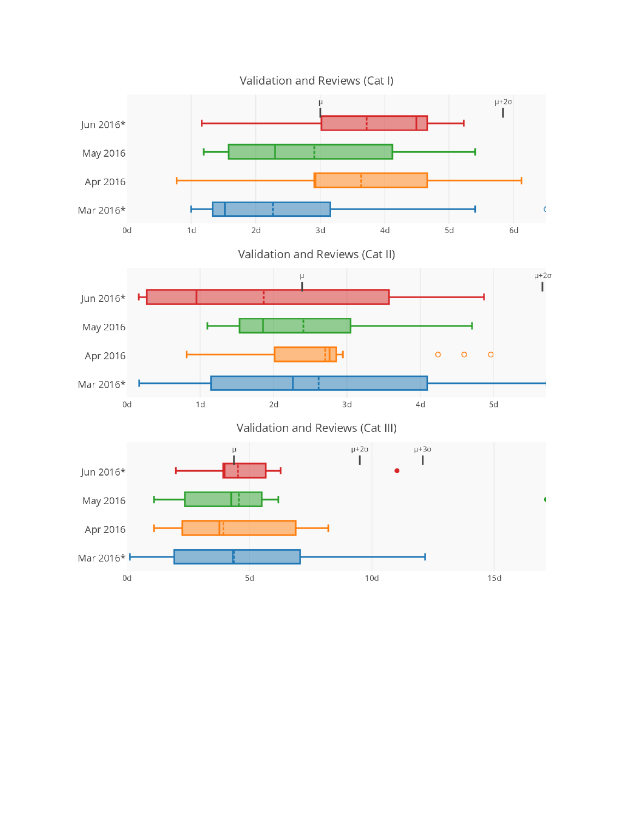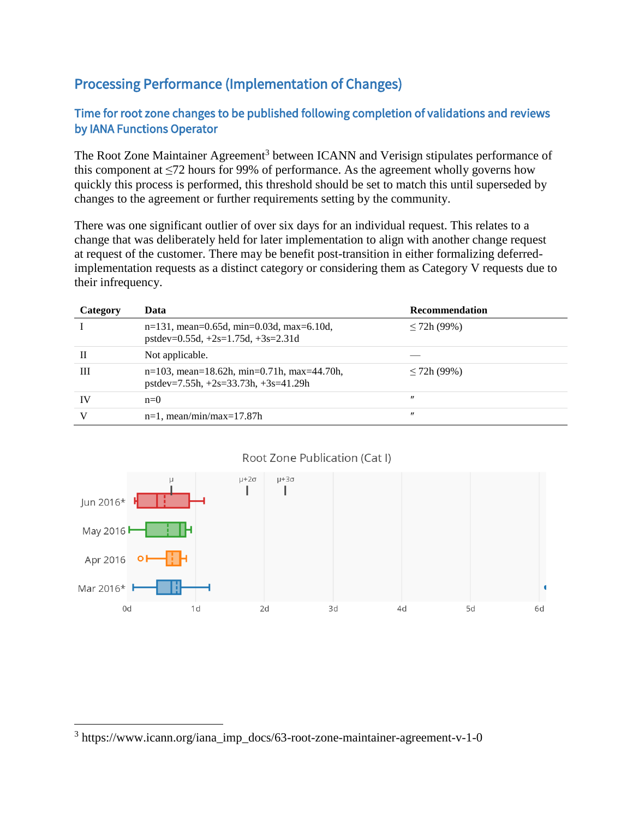## Processing Performance (Implementation of Changes)

## Time for root zone changes to be published following completion of validations and reviews by IANA Functions Operator

The Root Zone Maintainer Agreement<sup>3</sup> between ICANN and Verisign stipulates performance of this component at  $\leq 72$  hours for 99% of performance. As the agreement wholly governs how quickly this process is performed, this threshold should be set to match this until superseded by changes to the agreement or further requirements setting by the community.

There was one significant outlier of over six days for an individual request. This relates to a change that was deliberately held for later implementation to align with another change request at request of the customer. There may be benefit post-transition in either formalizing deferredimplementation requests as a distinct category or considering them as Category V requests due to their infrequency.

| Category | Data                                                                                    | Recommendation    |
|----------|-----------------------------------------------------------------------------------------|-------------------|
|          | $n=131$ , mean=0.65d, min=0.03d, max=6.10d,<br>$pstdev=0.55d, +2s=1.75d, +3s=2.31d$     | $\leq$ 72h (99%)  |
|          | Not applicable.                                                                         |                   |
| Ш        | $n=103$ , mean=18.62h, min=0.71h, max=44.70h,<br>$pstdev=7.55h, +2s=33.73h, +3s=41.29h$ | $\leq$ 72h (99%)  |
| IV       | $n=0$                                                                                   | $^{\prime\prime}$ |
|          | $n=1$ , mean/min/max=17.87h                                                             | $^{\prime\prime}$ |



#### Root Zone Publication (Cat I)

 $\overline{a}$ 

<sup>3</sup> https://www.icann.org/iana\_imp\_docs/63-root-zone-maintainer-agreement-v-1-0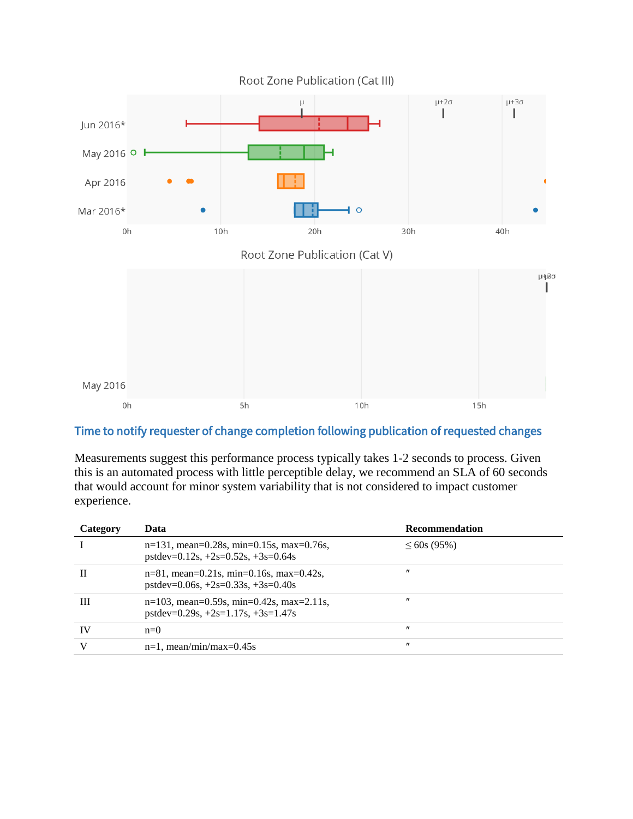

### Time to notify requester of change completion following publication of requested changes

Measurements suggest this performance process typically takes 1-2 seconds to process. Given this is an automated process with little perceptible delay, we recommend an SLA of 60 seconds that would account for minor system variability that is not considered to impact customer experience.

| Category | Data                                                                                | <b>Recommendation</b> |
|----------|-------------------------------------------------------------------------------------|-----------------------|
|          | $n=131$ , mean=0.28s, min=0.15s, max=0.76s,<br>$pstdev=0.12s, +2s=0.52s, +3s=0.64s$ | $\leq 60s(95\%)$      |
| Н        | $n=81$ , mean=0.21s, min=0.16s, max=0.42s,<br>$pstdev=0.06s, +2s=0.33s, +3s=0.40s$  | $^{\prime\prime}$     |
| Ш        | $n=103$ , mean=0.59s, min=0.42s, max=2.11s,<br>$pstdev=0.29s, +2s=1.17s, +3s=1.47s$ | $^{\prime\prime}$     |
| IV       | $n=0$                                                                               | $^{\prime\prime}$     |
| V        | $n=1$ , mean/min/max=0.45s                                                          | $^{\prime\prime}$     |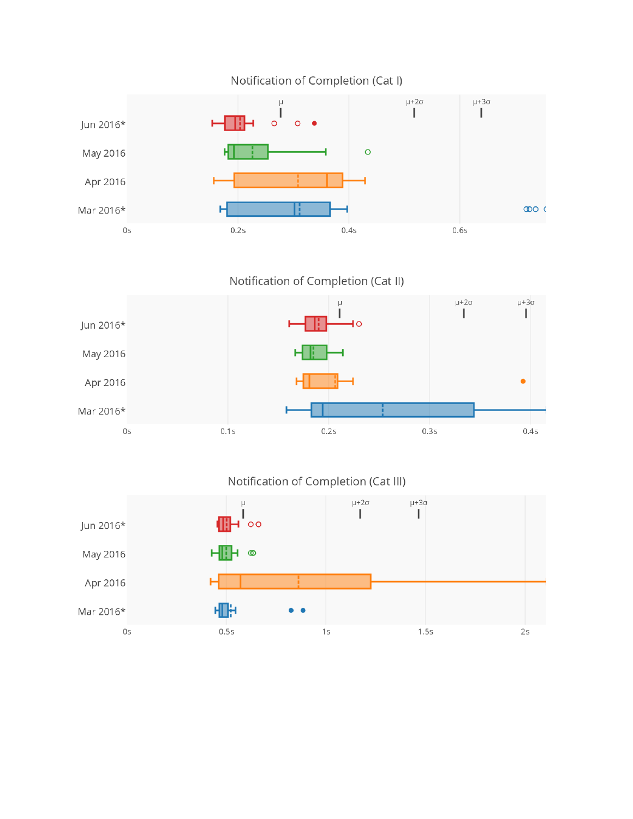

Notification of Completion (Cat I)

Notification of Completion (Cat II)



Notification of Completion (Cat III)

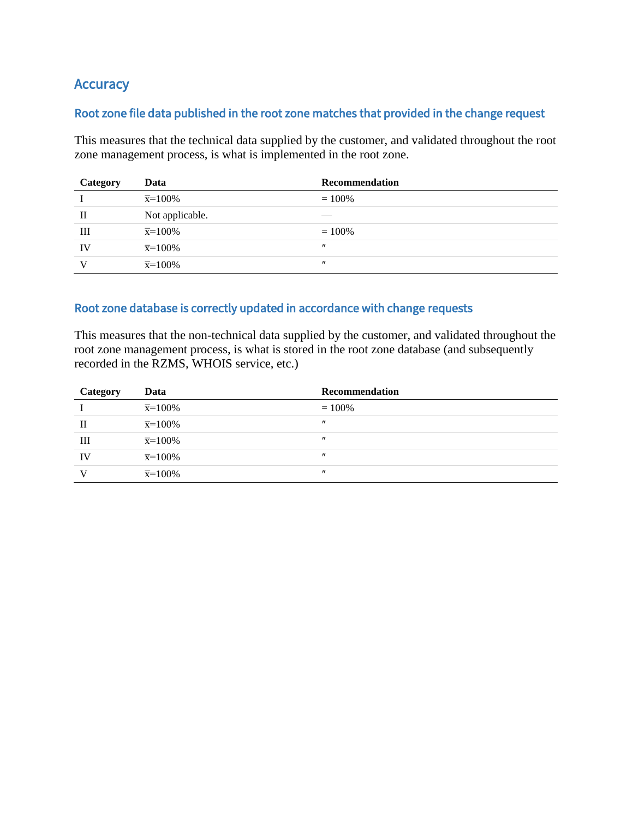## **Accuracy**

#### Root zone file data published in the root zone matches that provided in the change request

This measures that the technical data supplied by the customer, and validated throughout the root zone management process, is what is implemented in the root zone.

| Category | Data                 | Recommendation    |
|----------|----------------------|-------------------|
|          | $\bar{x} = 100\%$    | $= 100\%$         |
| П        | Not applicable.      |                   |
| Ш        | $\overline{x}=100\%$ | $= 100\%$         |
| IV       | $\overline{x}=100\%$ | $^{\prime\prime}$ |
|          | $\overline{x}=100\%$ | $^{\prime\prime}$ |

### Root zone database is correctly updated in accordance with change requests

This measures that the non-technical data supplied by the customer, and validated throughout the root zone management process, is what is stored in the root zone database (and subsequently recorded in the RZMS, WHOIS service, etc.)

| Category | Data              | Recommendation    |
|----------|-------------------|-------------------|
|          | $\bar{x} = 100\%$ | $= 100\%$         |
| H        | $\bar{x} = 100\%$ | $^{\prime\prime}$ |
| Ш        | $\bar{x} = 100\%$ | $^{\prime\prime}$ |
| IV       | $\bar{x} = 100\%$ | $^{\prime\prime}$ |
| $\bf{V}$ | $\bar{x} = 100\%$ | $^{\prime\prime}$ |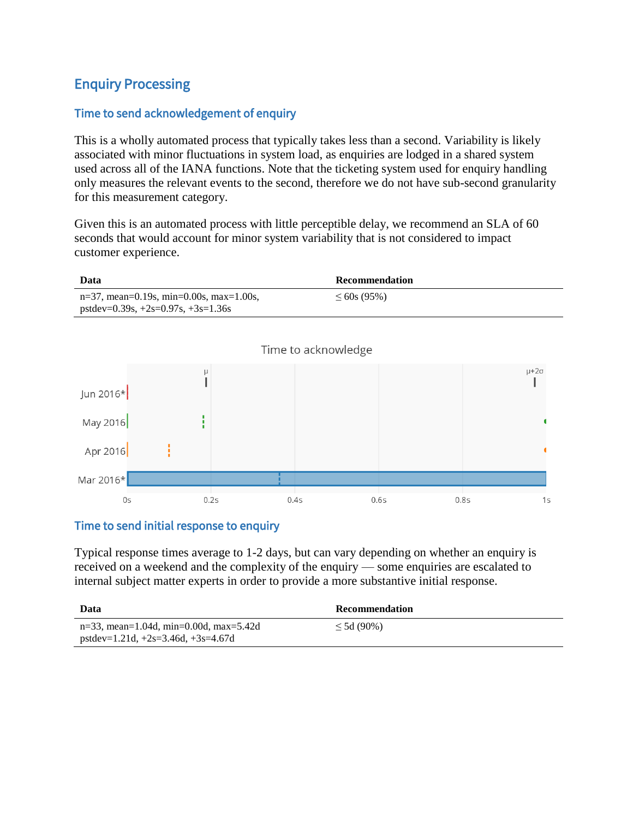## Enquiry Processing

#### Time to send acknowledgement of enquiry

This is a wholly automated process that typically takes less than a second. Variability is likely associated with minor fluctuations in system load, as enquiries are lodged in a shared system used across all of the IANA functions. Note that the ticketing system used for enquiry handling only measures the relevant events to the second, therefore we do not have sub-second granularity for this measurement category.

Given this is an automated process with little perceptible delay, we recommend an SLA of 60 seconds that would account for minor system variability that is not considered to impact customer experience.



#### Time to send initial response to enquiry

Typical response times average to 1-2 days, but can vary depending on whether an enquiry is received on a weekend and the complexity of the enquiry — some enquiries are escalated to internal subject matter experts in order to provide a more substantive initial response.

| Data                                      | <b>Recommendation</b> |
|-------------------------------------------|-----------------------|
| $n=33$ , mean=1.04d, min=0.00d, max=5.42d | $\leq 5d(90\%)$       |
| pstdev=1.21d, $+2s=3.46d$ , $+3s=4.67d$   |                       |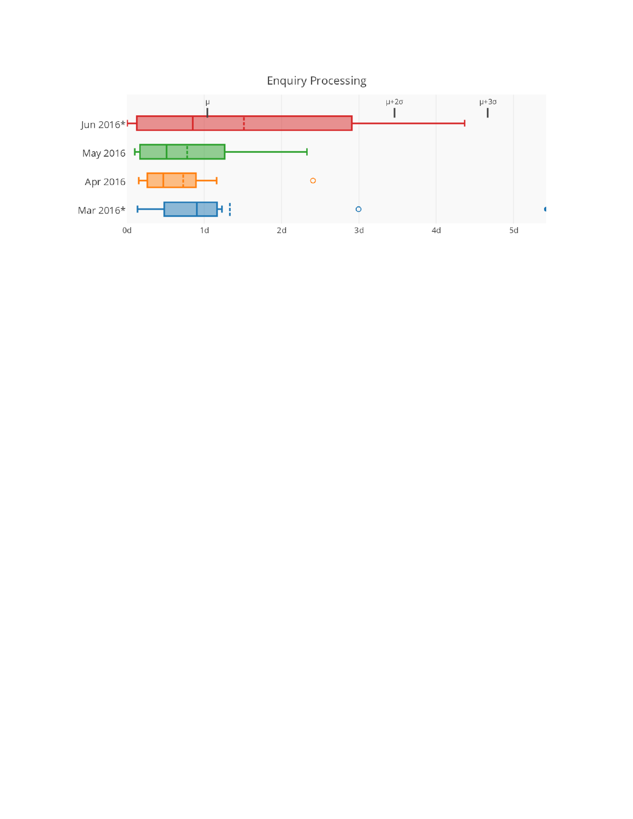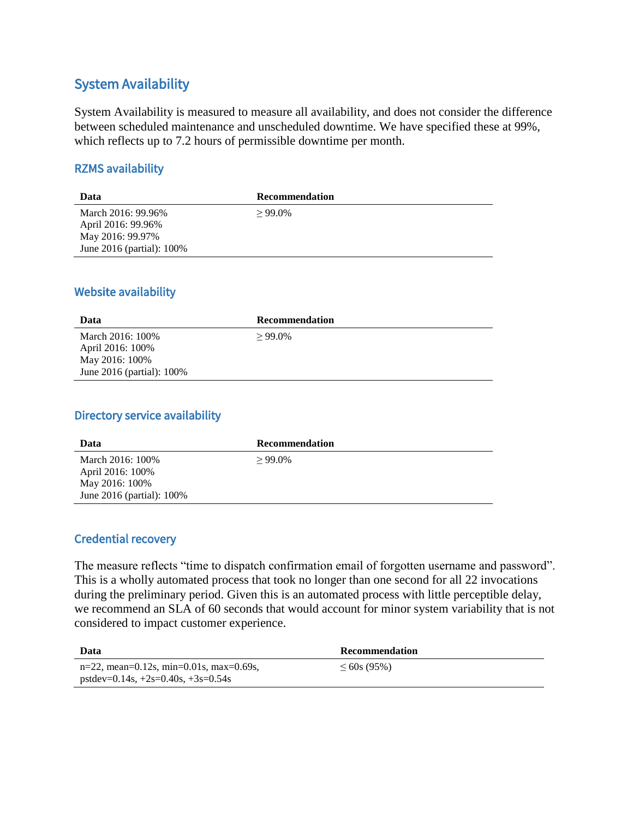## System Availability

System Availability is measured to measure all availability, and does not consider the difference between scheduled maintenance and unscheduled downtime. We have specified these at 99%, which reflects up to 7.2 hours of permissible downtime per month.

#### RZMS availability

| Data                      | <b>Recommendation</b> |
|---------------------------|-----------------------|
| March 2016: 99.96%        | $>99.0\%$             |
| April 2016: 99.96%        |                       |
| May 2016: 99.97%          |                       |
| June 2016 (partial): 100% |                       |

#### Website availability

| Data                           | Recommendation |
|--------------------------------|----------------|
| March 2016: 100%               | $>99.0\%$      |
| April 2016: 100%               |                |
| May 2016: 100\%                |                |
| June $2016$ (partial): $100\%$ |                |

### Directory service availability

| Data                      | <b>Recommendation</b> |
|---------------------------|-----------------------|
| March 2016: 100%          | $>99.0\%$             |
| April 2016: 100%          |                       |
| May 2016: 100%            |                       |
| June 2016 (partial): 100% |                       |

#### Credential recovery

The measure reflects "time to dispatch confirmation email of forgotten username and password". This is a wholly automated process that took no longer than one second for all 22 invocations during the preliminary period. Given this is an automated process with little perceptible delay, we recommend an SLA of 60 seconds that would account for minor system variability that is not considered to impact customer experience.

| Data                                       | <b>Recommendation</b> |
|--------------------------------------------|-----------------------|
| $n=22$ , mean=0.12s, min=0.01s, max=0.69s, | $\leq 60$ s (95%)     |
| $pstdev=0.14s, +2s=0.40s, +3s=0.54s$       |                       |